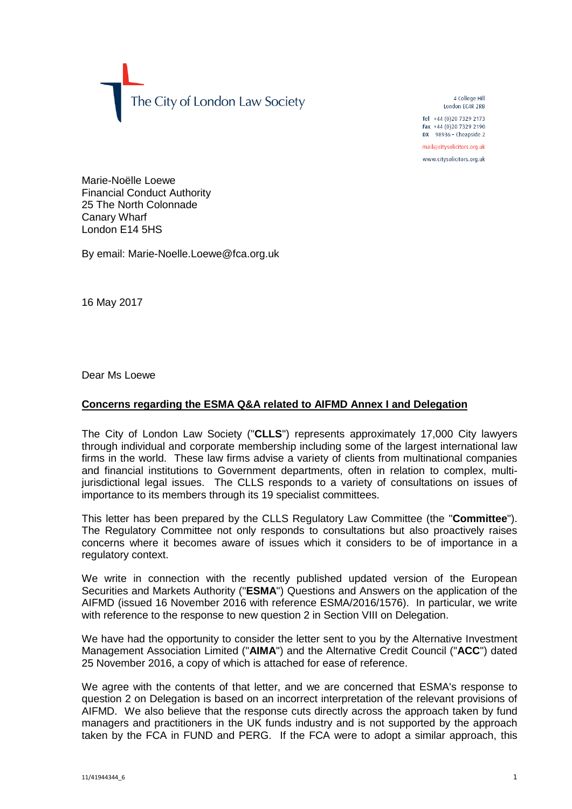The City of London Law Society

4 College Hill London FC4R 2RB

Tel +44 (0)20 7329 2173 Fax +44 (0) 20 7329 2190 DX  $98936$  - Cheapside 2

mail@citysolicitors.org.uk

www.citysolicitors.org.uk

Marie-Noëlle Loewe Financial Conduct Authority 25 The North Colonnade Canary Wharf London E14 5HS

By email: Marie-Noelle.Loewe@fca.org.uk

16 May 2017

Dear Ms Loewe

## **Concerns regarding the ESMA Q&A related to AIFMD Annex I and Delegation**

The City of London Law Society ("**CLLS**") represents approximately 17,000 City lawyers through individual and corporate membership including some of the largest international law firms in the world. These law firms advise a variety of clients from multinational companies and financial institutions to Government departments, often in relation to complex, multijurisdictional legal issues. The CLLS responds to a variety of consultations on issues of importance to its members through its 19 specialist committees.

This letter has been prepared by the CLLS Regulatory Law Committee (the "**Committee**"). The Regulatory Committee not only responds to consultations but also proactively raises concerns where it becomes aware of issues which it considers to be of importance in a regulatory context.

We write in connection with the recently published updated version of the European Securities and Markets Authority ("**ESMA**") Questions and Answers on the application of the AIFMD (issued 16 November 2016 with reference ESMA/2016/1576). In particular, we write with reference to the response to new question 2 in Section VIII on Delegation.

We have had the opportunity to consider the letter sent to you by the Alternative Investment Management Association Limited ("**AIMA**") and the Alternative Credit Council ("**ACC**") dated 25 November 2016, a copy of which is attached for ease of reference.

We agree with the contents of that letter, and we are concerned that ESMA's response to question 2 on Delegation is based on an incorrect interpretation of the relevant provisions of AIFMD. We also believe that the response cuts directly across the approach taken by fund managers and practitioners in the UK funds industry and is not supported by the approach taken by the FCA in FUND and PERG. If the FCA were to adopt a similar approach, this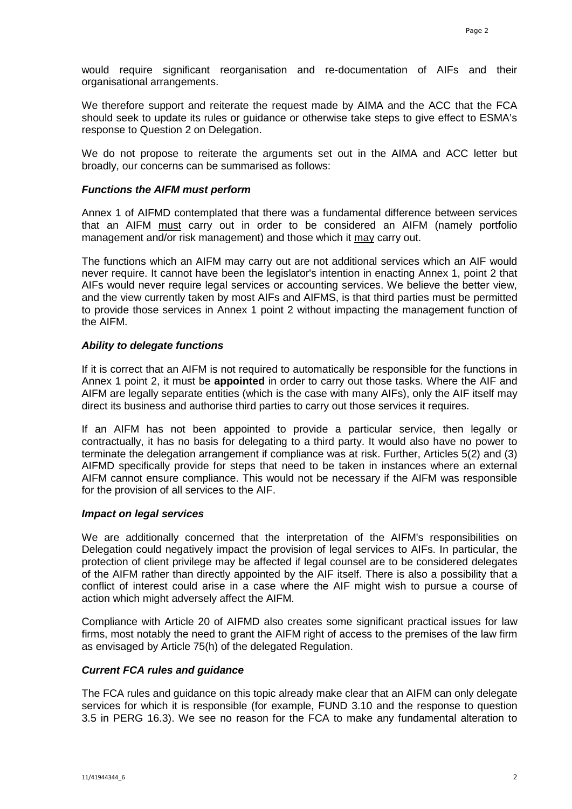would require significant reorganisation and re-documentation of AIFs and their organisational arrangements.

We therefore support and reiterate the request made by AIMA and the ACC that the FCA should seek to update its rules or guidance or otherwise take steps to give effect to ESMA's response to Question 2 on Delegation.

We do not propose to reiterate the arguments set out in the AIMA and ACC letter but broadly, our concerns can be summarised as follows:

#### *Functions the AIFM must perform*

Annex 1 of AIFMD contemplated that there was a fundamental difference between services that an AIFM must carry out in order to be considered an AIFM (namely portfolio management and/or risk management) and those which it may carry out.

The functions which an AIFM may carry out are not additional services which an AIF would never require. It cannot have been the legislator's intention in enacting Annex 1, point 2 that AIFs would never require legal services or accounting services. We believe the better view, and the view currently taken by most AIFs and AIFMS, is that third parties must be permitted to provide those services in Annex 1 point 2 without impacting the management function of the AIFM.

#### *Ability to delegate functions*

If it is correct that an AIFM is not required to automatically be responsible for the functions in Annex 1 point 2, it must be **appointed** in order to carry out those tasks. Where the AIF and AIFM are legally separate entities (which is the case with many AIFs), only the AIF itself may direct its business and authorise third parties to carry out those services it requires.

If an AIFM has not been appointed to provide a particular service, then legally or contractually, it has no basis for delegating to a third party. It would also have no power to terminate the delegation arrangement if compliance was at risk. Further, Articles 5(2) and (3) AIFMD specifically provide for steps that need to be taken in instances where an external AIFM cannot ensure compliance. This would not be necessary if the AIFM was responsible for the provision of all services to the AIF.

#### *Impact on legal services*

We are additionally concerned that the interpretation of the AIFM's responsibilities on Delegation could negatively impact the provision of legal services to AIFs. In particular, the protection of client privilege may be affected if legal counsel are to be considered delegates of the AIFM rather than directly appointed by the AIF itself. There is also a possibility that a conflict of interest could arise in a case where the AIF might wish to pursue a course of action which might adversely affect the AIFM.

Compliance with Article 20 of AIFMD also creates some significant practical issues for law firms, most notably the need to grant the AIFM right of access to the premises of the law firm as envisaged by Article 75(h) of the delegated Regulation.

## *Current FCA rules and guidance*

The FCA rules and guidance on this topic already make clear that an AIFM can only delegate services for which it is responsible (for example, FUND 3.10 and the response to question 3.5 in PERG 16.3). We see no reason for the FCA to make any fundamental alteration to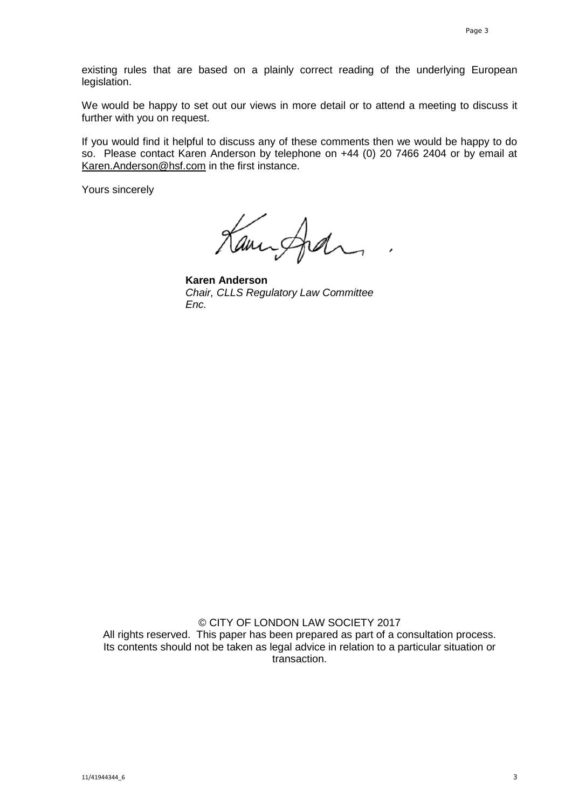existing rules that are based on a plainly correct reading of the underlying European legislation.

We would be happy to set out our views in more detail or to attend a meeting to discuss it further with you on request.

If you would find it helpful to discuss any of these comments then we would be happy to do so. Please contact Karen Anderson by telephone on +44 (0) 20 7466 2404 or by email at [Karen.Anderson@hsf.com](mailto:Karen.Anderson@hsf.com) in the first instance.

Yours sincerely

Kampfal

**Karen Anderson** *Chair, CLLS Regulatory Law Committee Enc.*

© CITY OF LONDON LAW SOCIETY 2017 All rights reserved. This paper has been prepared as part of a consultation process. Its contents should not be taken as legal advice in relation to a particular situation or transaction.